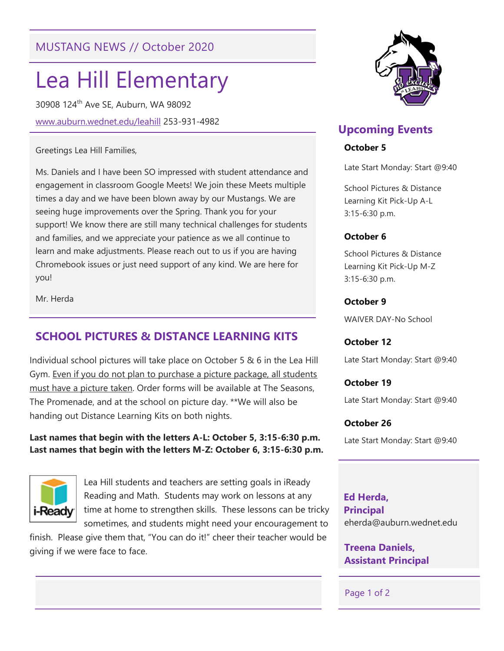# MUSTANG NEWS // October 2020

# Lea Hill Elementary

30908 124th Ave SE, Auburn, WA 98092 www.auburn.wednet.edu/leahill 253-931-4982

#### Greetings Lea Hill Families,

Ms. Daniels and I have been SO impressed with student attendance and engagement in classroom Google Meets! We join these Meets multiple times a day and we have been blown away by our Mustangs. We are seeing huge improvements over the Spring. Thank you for your support! We know there are still many technical challenges for students and families, and we appreciate your patience as we all continue to learn and make adjustments. Please reach out to us if you are having Chromebook issues or just need support of any kind. We are here for you!

Mr. Herda

## SCHOOL PICTURES & DISTANCE LEARNING KITS

Individual school pictures will take place on October 5 & 6 in the Lea Hill Gym. Even if you do not plan to purchase a picture package, all students must have a picture taken. Order forms will be available at The Seasons, The Promenade, and at the school on picture day. \*\*We will also be handing out Distance Learning Kits on both nights.

#### Last names that begin with the letters A-L: October 5, 3:15-6:30 p.m. Last names that begin with the letters M-Z: October 6, 3:15-6:30 p.m.



Lea Hill students and teachers are setting goals in iReady Reading and Math. Students may work on lessons at any time at home to strengthen skills. These lessons can be tricky sometimes, and students might need your encouragement to

finish. Please give them that, "You can do it!" cheer their teacher would be giving if we were face to face.



## Upcoming Events

#### October 5

Late Start Monday: Start @9:40

School Pictures & Distance Learning Kit Pick-Up A-L 3:15-6:30 p.m.

#### October 6

School Pictures & Distance Learning Kit Pick-Up M-Z 3:15-6:30 p.m.

#### October 9

WAIVER DAY-No School

#### October 12

Late Start Monday: Start @9:40

October 19

Late Start Monday: Start @9:40

#### October 26

Late Start Monday: Start @9:40

 Ed Herda, Principal eherda@auburn.wednet.edu

tdaniels@auburn.wednet.com

Treena Daniels, Assistant Principal

#### Page 1 of 2